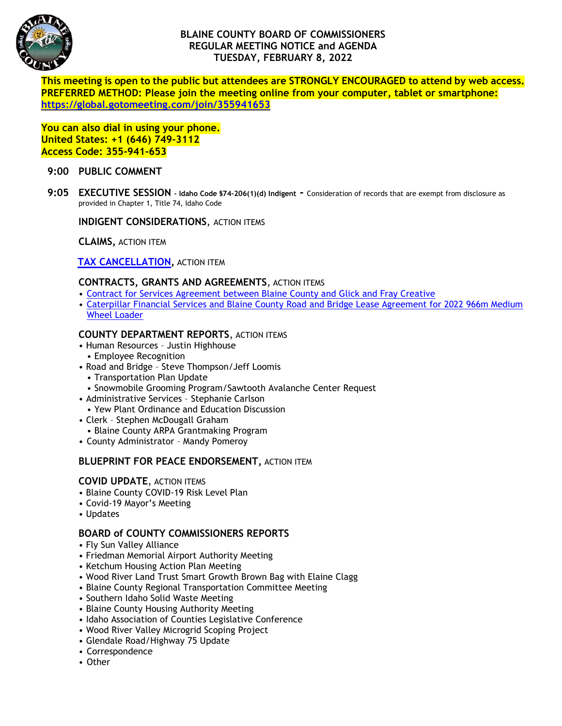

# **BLAINE COUNTY BOARD OF COMMISSIONERS REGULAR MEETING NOTICE and AGENDA TUESDAY, FEBRUARY 8, 2022**

**This meeting is open to the public but attendees are STRONGLY ENCOURAGED to attend by web access. PREFERRED METHOD: Please join the meeting online from your computer, tablet or smartphone: <https://global.gotomeeting.com/join/355941653>**

**You can also dial in using your phone. United States: +1 (646) 749-3112 Access Code: 355-941-653**

## **9:00 PUBLIC COMMENT**

**9:05 EXECUTIVE SESSION – Idaho Code §74-206(1)(d) Indigent -** Consideration of records that are exempt from disclosure as provided in Chapter 1, Title 74, Idaho Code

### **INDIGENT CONSIDERATIONS, ACTION ITEMS**

**CLAIMS,** ACTION ITEM

## **[TAX CANCELLATION,](https://www.co.blaine.id.us/DocumentCenter/View/17928/TAX-CANCELLATION)** ACTION ITEM

### **CONTRACTS, GRANTS AND AGREEMENTS**, ACTION ITEMS

- [Contract for Services Agreement between Blaine County and Glick and Fray Creative](https://www.co.blaine.id.us/DocumentCenter/View/17929/Graphic-Design-and-Marketiing-Professional-Services-Contract)
- [Caterpillar Financial Services and Blaine County Road and Bridge Lease Agreement for 2022 966m Medium](https://www.co.blaine.id.us/DocumentCenter/View/17930/Caterpillar-lease-agreement)  [Wheel Loader](https://www.co.blaine.id.us/DocumentCenter/View/17930/Caterpillar-lease-agreement)

## **COUNTY DEPARTMENT REPORTS**, ACTION ITEMS

- Human Resources Justin Highhouse
- Employee Recognition
- Road and Bridge Steve Thompson/Jeff Loomis
	- Transportation Plan Update
- Snowmobile Grooming Program/Sawtooth Avalanche Center Request
- Administrative Services Stephanie Carlson
- Yew Plant Ordinance and Education Discussion
- Clerk Stephen McDougall Graham
- Blaine County ARPA Grantmaking Program
- County Administrator Mandy Pomeroy

## **BLUEPRINT FOR PEACE ENDORSEMENT,** ACTION ITEM

#### **COVID UPDATE**, ACTION ITEMS

- Blaine County COVID-19 Risk Level Plan
- Covid-19 Mayor's Meeting
- Updates

#### **BOARD of COUNTY COMMISSIONERS REPORTS**

- Fly Sun Valley Alliance
- Friedman Memorial Airport Authority Meeting
- Ketchum Housing Action Plan Meeting
- Wood River Land Trust Smart Growth Brown Bag with Elaine Clagg
- Blaine County Regional Transportation Committee Meeting
- Southern Idaho Solid Waste Meeting
- Blaine County Housing Authority Meeting
- Idaho Association of Counties Legislative Conference
- Wood River Valley Microgrid Scoping Project
- Glendale Road/Highway 75 Update
- Correspondence
- Other